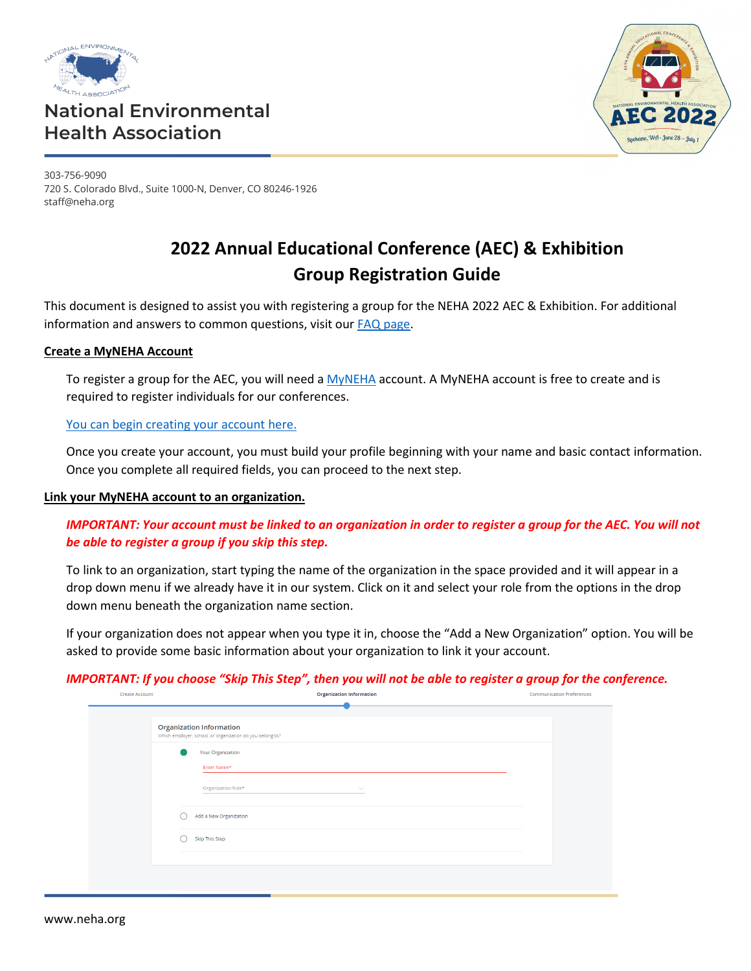

## **National Environmental Health Association**



303-756-9090 720 S. Colorado Blvd., Suite 1000-N, Denver, CO 80246-1926 staff@neha.org

# **2022 Annual Educational Conference (AEC) & Exhibition Group Registration Guide**

This document is designed to assist you with registering a group for the NEHA 2022 AEC & Exhibition. For additional information and answers to common questions, visit our [FAQ page.](https://www.neha.org/neha-2022-annual-educational-conference-aec-exhibition/hybrid-faq)

## **Create a MyNEHA Account**

To register a group for the AEC, you will need [a MyNEHA](https://neha.users.membersuite.com/home) account. A MyNEHA account is free to create and is required to register individuals for our conferences.

## [You can begin creating your account here.](https://neha.users.membersuite.com/auth/portal-login?isSignUp=true)

Once you create your account, you must build your profile beginning with your name and basic contact information. Once you complete all required fields, you can proceed to the next step.

## **Link your MyNEHA account to an organization.**

## *IMPORTANT: Your account must be linked to an organization in order to register a group for the AEC. You will not be able to register a group if you skip this step.*

To link to an organization, start typing the name of the organization in the space provided and it will appear in a drop down menu if we already have it in our system. Click on it and select your role from the options in the drop down menu beneath the organization name section.

If your organization does not appear when you type it in, choose the "Add a New Organization" option. You will be asked to provide some basic information about your organization to link it your account.

## *IMPORTANT: If you choose "Skip This Step", then you will not be able to register a group for the conference.*

|                                    | <b>Communication Preferences</b>                                                             |
|------------------------------------|----------------------------------------------------------------------------------------------|
|                                    |                                                                                              |
| Your Organization<br>Enter Name*   |                                                                                              |
| Organization Role*<br>$\checkmark$ |                                                                                              |
| Add a New Organization<br>- 1      |                                                                                              |
| Skip This Step                     |                                                                                              |
|                                    | <b>Organization Information</b><br>Which employer, school, or organization do you belong to? |